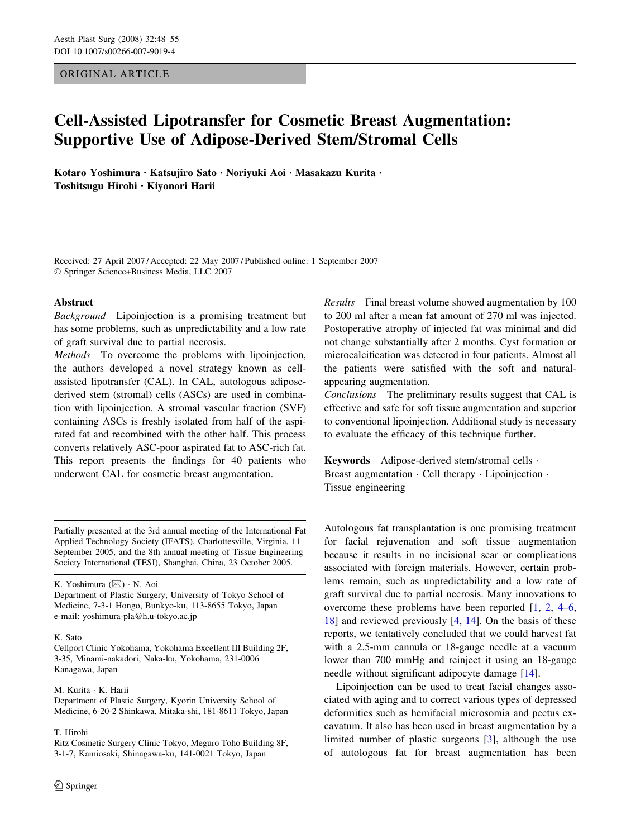# ORIGINAL ARTICLE

# Cell-Assisted Lipotransfer for Cosmetic Breast Augmentation: Supportive Use of Adipose-Derived Stem/Stromal Cells

Kotaro Yoshimura · Katsujiro Sato · Noriyuki Aoi · Masakazu Kurita · Toshitsugu Hirohi · Kiyonori Harii

Received: 27 April 2007 / Accepted: 22 May 2007 / Published online: 1 September 2007 Springer Science+Business Media, LLC 2007

## Abstract

Background Lipoinjection is a promising treatment but has some problems, such as unpredictability and a low rate of graft survival due to partial necrosis.

Methods To overcome the problems with lipoinjection, the authors developed a novel strategy known as cellassisted lipotransfer (CAL). In CAL, autologous adiposederived stem (stromal) cells (ASCs) are used in combination with lipoinjection. A stromal vascular fraction (SVF) containing ASCs is freshly isolated from half of the aspirated fat and recombined with the other half. This process converts relatively ASC-poor aspirated fat to ASC-rich fat. This report presents the findings for 40 patients who underwent CAL for cosmetic breast augmentation.

Partially presented at the 3rd annual meeting of the International Fat Applied Technology Society (IFATS), Charlottesville, Virginia, 11 September 2005, and the 8th annual meeting of Tissue Engineering Society International (TESI), Shanghai, China, 23 October 2005.

K. Yoshimura (⊠) · N. Aoi

Department of Plastic Surgery, University of Tokyo School of Medicine, 7-3-1 Hongo, Bunkyo-ku, 113-8655 Tokyo, Japan e-mail: yoshimura-pla@h.u-tokyo.ac.jp

## K. Sato

Cellport Clinic Yokohama, Yokohama Excellent III Building 2F, 3-35, Minami-nakadori, Naka-ku, Yokohama, 231-0006 Kanagawa, Japan

#### M. Kurita · K. Harii

Department of Plastic Surgery, Kyorin University School of Medicine, 6-20-2 Shinkawa, Mitaka-shi, 181-8611 Tokyo, Japan

#### T. Hirohi

Ritz Cosmetic Surgery Clinic Tokyo, Meguro Toho Building 8F, 3-1-7, Kamiosaki, Shinagawa-ku, 141-0021 Tokyo, Japan

Results Final breast volume showed augmentation by 100 to 200 ml after a mean fat amount of 270 ml was injected. Postoperative atrophy of injected fat was minimal and did not change substantially after 2 months. Cyst formation or microcalcification was detected in four patients. Almost all the patients were satisfied with the soft and naturalappearing augmentation.

Conclusions The preliminary results suggest that CAL is effective and safe for soft tissue augmentation and superior to conventional lipoinjection. Additional study is necessary to evaluate the efficacy of this technique further.

Keywords Adipose-derived stem/stromal cells · Breast augmentation  $\cdot$  Cell therapy  $\cdot$  Lipoinjection  $\cdot$ Tissue engineering

Autologous fat transplantation is one promising treatment for facial rejuvenation and soft tissue augmentation because it results in no incisional scar or complications associated with foreign materials. However, certain problems remain, such as unpredictability and a low rate of graft survival due to partial necrosis. Many innovations to overcome these problems have been reported [\[1](#page-7-0), [2](#page-7-0), [4–6,](#page-7-0) [18](#page-7-0)] and reviewed previously [[4,](#page-7-0) [14](#page-7-0)]. On the basis of these reports, we tentatively concluded that we could harvest fat with a 2.5-mm cannula or 18-gauge needle at a vacuum lower than 700 mmHg and reinject it using an 18-gauge needle without significant adipocyte damage [[14\]](#page-7-0).

Lipoinjection can be used to treat facial changes associated with aging and to correct various types of depressed deformities such as hemifacial microsomia and pectus excavatum. It also has been used in breast augmentation by a limited number of plastic surgeons [[3\]](#page-7-0), although the use of autologous fat for breast augmentation has been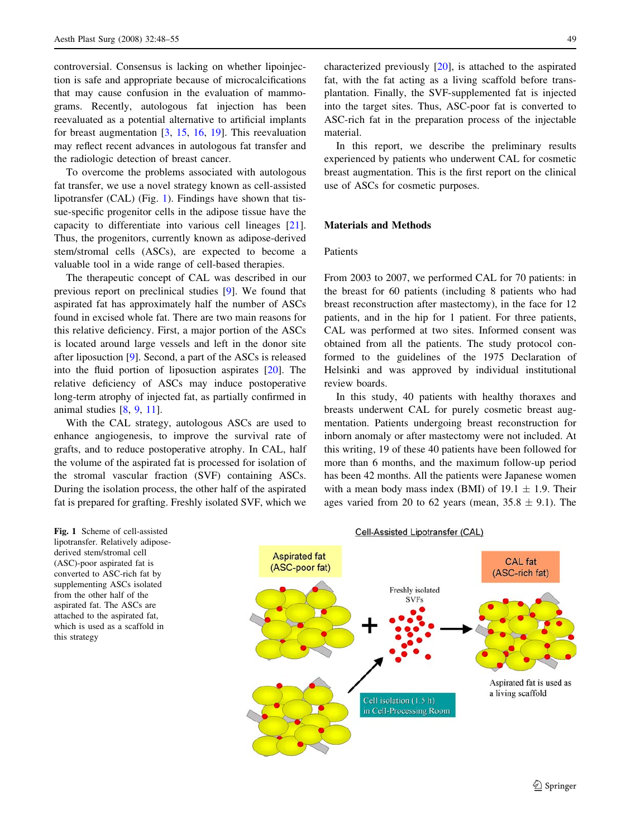controversial. Consensus is lacking on whether lipoinjection is safe and appropriate because of microcalcifications that may cause confusion in the evaluation of mammograms. Recently, autologous fat injection has been reevaluated as a potential alternative to artificial implants for breast augmentation [\[3](#page-7-0), [15](#page-7-0), [16,](#page-7-0) [19\]](#page-7-0). This reevaluation may reflect recent advances in autologous fat transfer and the radiologic detection of breast cancer.

To overcome the problems associated with autologous fat transfer, we use a novel strategy known as cell-assisted lipotransfer (CAL) (Fig. 1). Findings have shown that tissue-specific progenitor cells in the adipose tissue have the capacity to differentiate into various cell lineages [\[21](#page-7-0)]. Thus, the progenitors, currently known as adipose-derived stem/stromal cells (ASCs), are expected to become a valuable tool in a wide range of cell-based therapies.

The therapeutic concept of CAL was described in our previous report on preclinical studies [[9\]](#page-7-0). We found that aspirated fat has approximately half the number of ASCs found in excised whole fat. There are two main reasons for this relative deficiency. First, a major portion of the ASCs is located around large vessels and left in the donor site after liposuction [\[9](#page-7-0)]. Second, a part of the ASCs is released into the fluid portion of liposuction aspirates [[20\]](#page-7-0). The relative deficiency of ASCs may induce postoperative long-term atrophy of injected fat, as partially confirmed in animal studies [\[8](#page-7-0), [9,](#page-7-0) [11\]](#page-7-0).

With the CAL strategy, autologous ASCs are used to enhance angiogenesis, to improve the survival rate of grafts, and to reduce postoperative atrophy. In CAL, half the volume of the aspirated fat is processed for isolation of the stromal vascular fraction (SVF) containing ASCs. During the isolation process, the other half of the aspirated fat is prepared for grafting. Freshly isolated SVF, which we

characterized previously [[20\]](#page-7-0), is attached to the aspirated fat, with the fat acting as a living scaffold before transplantation. Finally, the SVF-supplemented fat is injected into the target sites. Thus, ASC-poor fat is converted to ASC-rich fat in the preparation process of the injectable material.

In this report, we describe the preliminary results experienced by patients who underwent CAL for cosmetic breast augmentation. This is the first report on the clinical use of ASCs for cosmetic purposes.

# Materials and Methods

#### Patients

From 2003 to 2007, we performed CAL for 70 patients: in the breast for 60 patients (including 8 patients who had breast reconstruction after mastectomy), in the face for 12 patients, and in the hip for 1 patient. For three patients, CAL was performed at two sites. Informed consent was obtained from all the patients. The study protocol conformed to the guidelines of the 1975 Declaration of Helsinki and was approved by individual institutional review boards.

In this study, 40 patients with healthy thoraxes and breasts underwent CAL for purely cosmetic breast augmentation. Patients undergoing breast reconstruction for inborn anomaly or after mastectomy were not included. At this writing, 19 of these 40 patients have been followed for more than 6 months, and the maximum follow-up period has been 42 months. All the patients were Japanese women with a mean body mass index (BMI) of  $19.1 \pm 1.9$ . Their ages varied from 20 to 62 years (mean,  $35.8 \pm 9.1$ ). The

Fig. 1 Scheme of cell-assisted lipotransfer. Relatively adiposederived stem/stromal cell (ASC)-poor aspirated fat is converted to ASC-rich fat by supplementing ASCs isolated from the other half of the aspirated fat. The ASCs are attached to the aspirated fat, which is used as a scaffold in this strategy

Cell-Assisted Lipotransfer (CAL)

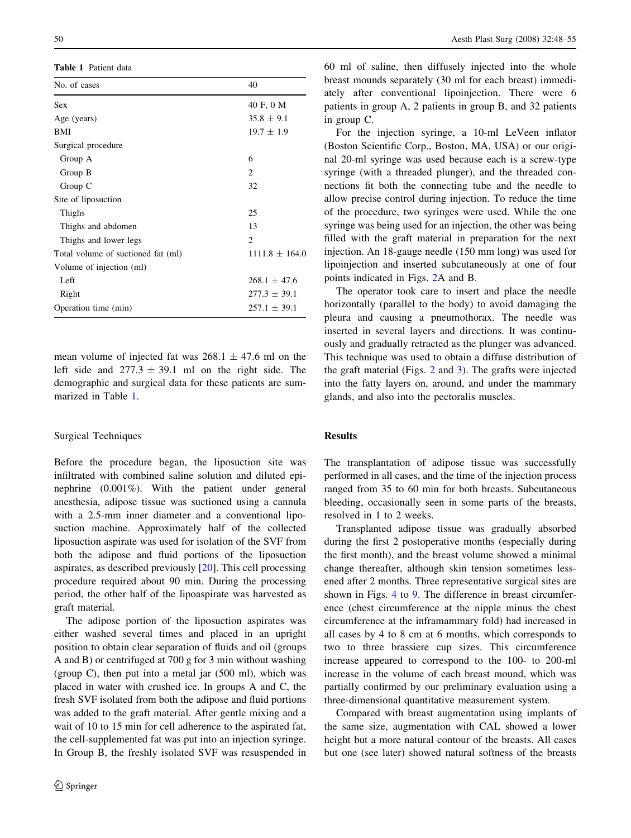Table 1 Patient data

| No. of cases                       | 40                 |
|------------------------------------|--------------------|
| <b>Sex</b>                         | 40 F, 0 M          |
| Age (years)                        | $35.8 \pm 9.1$     |
| BMI                                | $19.7 \pm 1.9$     |
| Surgical procedure                 |                    |
| Group A                            | 6                  |
| Group B                            | $\overline{c}$     |
| Group C                            | 32                 |
| Site of liposuction                |                    |
| Thighs                             | 25                 |
| Thighs and abdomen                 | 13                 |
| Thighs and lower legs              | $\overline{c}$     |
| Total volume of suctioned fat (ml) | $1111.8 \pm 164.0$ |
| Volume of injection (ml)           |                    |
| Left                               | $268.1 \pm 47.6$   |
| Right                              | $277.3 \pm 39.1$   |
| Operation time (min)               | $257.1 \pm 39.1$   |

mean volume of injected fat was  $268.1 \pm 47.6$  ml on the left side and  $277.3 \pm 39.1$  ml on the right side. The demographic and surgical data for these patients are summarized in Table 1.

# Surgical Techniques

Before the procedure began, the liposuction site was infiltrated with combined saline solution and diluted epinephrine (0.001%). With the patient under general anesthesia, adipose tissue was suctioned using a cannula with a 2.5-mm inner diameter and a conventional liposuction machine. Approximately half of the collected liposuction aspirate was used for isolation of the SVF from both the adipose and fluid portions of the liposuction aspirates, as described previously [[20\]](#page-7-0). This cell processing procedure required about 90 min. During the processing period, the other half of the lipoaspirate was harvested as graft material.

The adipose portion of the liposuction aspirates was either washed several times and placed in an upright position to obtain clear separation of fluids and oil (groups A and B) or centrifuged at 700 g for 3 min without washing (group C), then put into a metal jar  $(500 \text{ ml})$ , which was placed in water with crushed ice. In groups A and C, the fresh SVF isolated from both the adipose and fluid portions was added to the graft material. After gentle mixing and a wait of 10 to 15 min for cell adherence to the aspirated fat, the cell-supplemented fat was put into an injection syringe. In Group B, the freshly isolated SVF was resuspended in 60 ml of saline, then diffusely injected into the whole breast mounds separately (30 ml for each breast) immediately after conventional lipoinjection. There were 6 patients in group A, 2 patients in group B, and 32 patients in group C.

For the injection syringe, a 10-ml LeVeen inflator (Boston Scientific Corp., Boston, MA, USA) or our original 20-ml syringe was used because each is a screw-type syringe (with a threaded plunger), and the threaded connections fit both the connecting tube and the needle to allow precise control during injection. To reduce the time of the procedure, two syringes were used. While the one syringe was being used for an injection, the other was being filled with the graft material in preparation for the next injection. An 18-gauge needle (150 mm long) was used for lipoinjection and inserted subcutaneously at one of four points indicated in Figs. [2](#page-3-0)A and B.

The operator took care to insert and place the needle horizontally (parallel to the body) to avoid damaging the pleura and causing a pneumothorax. The needle was inserted in several layers and directions. It was continuously and gradually retracted as the plunger was advanced. This technique was used to obtain a diffuse distribution of the graft material (Figs. [2](#page-3-0) and [3](#page-3-0)). The grafts were injected into the fatty layers on, around, and under the mammary glands, and also into the pectoralis muscles.

## Results

The transplantation of adipose tissue was successfully performed in all cases, and the time of the injection process ranged from 35 to 60 min for both breasts. Subcutaneous bleeding, occasionally seen in some parts of the breasts, resolved in 1 to 2 weeks.

Transplanted adipose tissue was gradually absorbed during the first 2 postoperative months (especially during the first month), and the breast volume showed a minimal change thereafter, although skin tension sometimes lessened after 2 months. Three representative surgical sites are shown in Figs. [4](#page-4-0) to [9](#page-6-0). The difference in breast circumference (chest circumference at the nipple minus the chest circumference at the inframammary fold) had increased in all cases by 4 to 8 cm at 6 months, which corresponds to two to three brassiere cup sizes. This circumference increase appeared to correspond to the 100- to 200-ml increase in the volume of each breast mound, which was partially confirmed by our preliminary evaluation using a three-dimensional quantitative measurement system.

Compared with breast augmentation using implants of the same size, augmentation with CAL showed a lower height but a more natural contour of the breasts. All cases but one (see later) showed natural softness of the breasts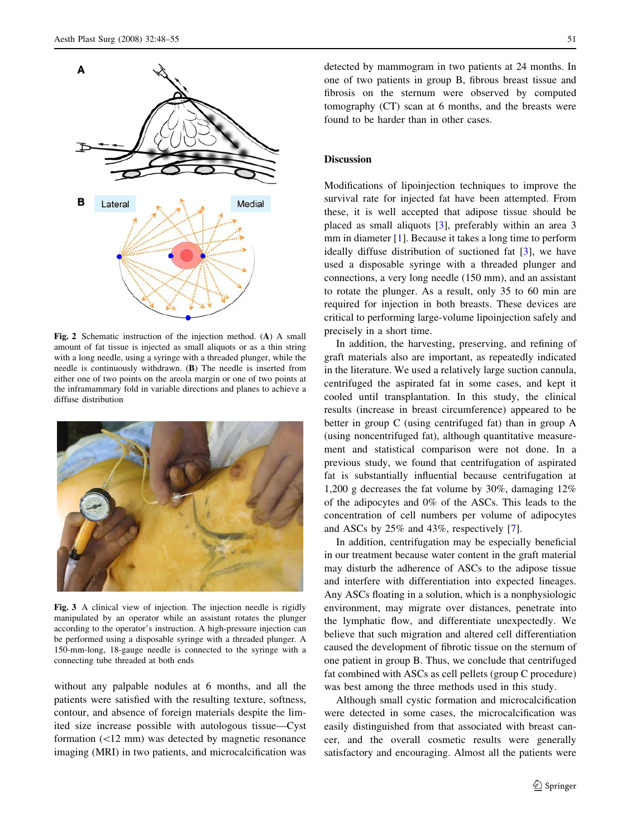<span id="page-3-0"></span>

Fig. 2 Schematic instruction of the injection method. (A) A small amount of fat tissue is injected as small aliquots or as a thin string with a long needle, using a syringe with a threaded plunger, while the needle is continuously withdrawn. (B) The needle is inserted from either one of two points on the areola margin or one of two points at the inframammary fold in variable directions and planes to achieve a diffuse distribution



Fig. 3 A clinical view of injection. The injection needle is rigidly manipulated by an operator while an assistant rotates the plunger according to the operator's instruction. A high-pressure injection can be performed using a disposable syringe with a threaded plunger. A 150-mm-long, 18-gauge needle is connected to the syringe with a connecting tube threaded at both ends

without any palpable nodules at 6 months, and all the patients were satisfied with the resulting texture, softness, contour, and absence of foreign materials despite the limited size increase possible with autologous tissue—Cyst formation  $(\leq 12 \text{ mm})$  was detected by magnetic resonance imaging (MRI) in two patients, and microcalcification was detected by mammogram in two patients at 24 months. In one of two patients in group B, fibrous breast tissue and fibrosis on the sternum were observed by computed tomography (CT) scan at 6 months, and the breasts were found to be harder than in other cases.

## **Discussion**

Modifications of lipoinjection techniques to improve the survival rate for injected fat have been attempted. From these, it is well accepted that adipose tissue should be placed as small aliquots [\[3](#page-7-0)], preferably within an area 3 mm in diameter [[1](#page-7-0)]. Because it takes a long time to perform ideally diffuse distribution of suctioned fat [\[3](#page-7-0)], we have used a disposable syringe with a threaded plunger and connections, a very long needle (150 mm), and an assistant to rotate the plunger. As a result, only 35 to 60 min are required for injection in both breasts. These devices are critical to performing large-volume lipoinjection safely and precisely in a short time.

In addition, the harvesting, preserving, and refining of graft materials also are important, as repeatedly indicated in the literature. We used a relatively large suction cannula, centrifuged the aspirated fat in some cases, and kept it cooled until transplantation. In this study, the clinical results (increase in breast circumference) appeared to be better in group C (using centrifuged fat) than in group A (using noncentrifuged fat), although quantitative measurement and statistical comparison were not done. In a previous study, we found that centrifugation of aspirated fat is substantially influential because centrifugation at 1,200 g decreases the fat volume by 30%, damaging 12% of the adipocytes and 0% of the ASCs. This leads to the concentration of cell numbers per volume of adipocytes and ASCs by 25% and 43%, respectively [\[7](#page-7-0)].

In addition, centrifugation may be especially beneficial in our treatment because water content in the graft material may disturb the adherence of ASCs to the adipose tissue and interfere with differentiation into expected lineages. Any ASCs floating in a solution, which is a nonphysiologic environment, may migrate over distances, penetrate into the lymphatic flow, and differentiate unexpectedly. We believe that such migration and altered cell differentiation caused the development of fibrotic tissue on the sternum of one patient in group B. Thus, we conclude that centrifuged fat combined with ASCs as cell pellets (group C procedure) was best among the three methods used in this study.

Although small cystic formation and microcalcification were detected in some cases, the microcalcification was easily distinguished from that associated with breast cancer, and the overall cosmetic results were generally satisfactory and encouraging. Almost all the patients were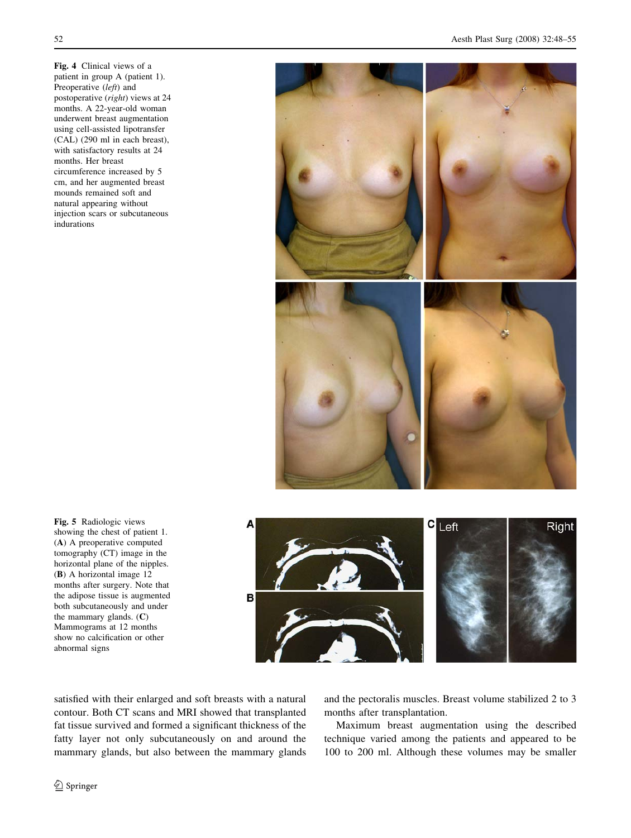<span id="page-4-0"></span>Fig. 4 Clinical views of a patient in group A (patient 1). Preoperative (left) and postoperative (right) views at 24 months. A 22-year-old woman underwent breast augmentation using cell-assisted lipotransfer (CAL) (290 ml in each breast), with satisfactory results at 24 months. Her breast circumference increased by 5 cm, and her augmented breast mounds remained soft and natural appearing without injection scars or subcutaneous indurations



Fig. 5 Radiologic views showing the chest of patient 1. (A) A preoperative computed tomography (CT) image in the horizontal plane of the nipples. (B) A horizontal image 12 months after surgery. Note that the adipose tissue is augmented both subcutaneously and under the mammary glands. (C) Mammograms at 12 months show no calcification or other abnormal signs

Δ Right B

satisfied with their enlarged and soft breasts with a natural contour. Both CT scans and MRI showed that transplanted fat tissue survived and formed a significant thickness of the fatty layer not only subcutaneously on and around the mammary glands, but also between the mammary glands and the pectoralis muscles. Breast volume stabilized 2 to 3 months after transplantation.

Maximum breast augmentation using the described technique varied among the patients and appeared to be 100 to 200 ml. Although these volumes may be smaller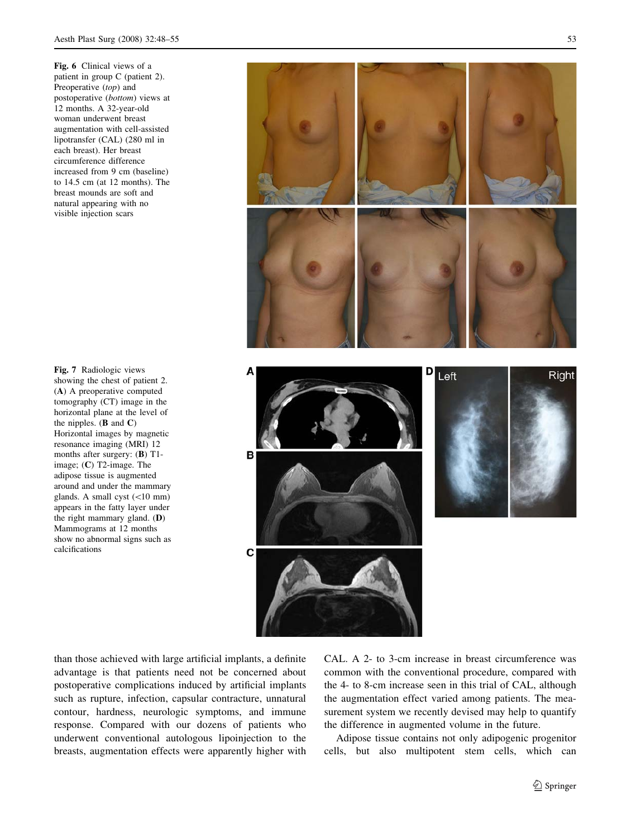Fig. 6 Clinical views of a patient in group C (patient 2). Preoperative (top) and postoperative (bottom) views at 12 months. A 32-year-old woman underwent breast augmentation with cell-assisted lipotransfer (CAL) (280 ml in each breast). Her breast circumference difference increased from 9 cm (baseline) to 14.5 cm (at 12 months). The breast mounds are soft and natural appearing with no visible injection scars

Fig. 7 Radiologic views showing the chest of patient 2. (A) A preoperative computed tomography (CT) image in the horizontal plane at the level of the nipples.  $(B \text{ and } C)$ Horizontal images by magnetic resonance imaging (MRI) 12 months after surgery: (B) T1 image; (C) T2-image. The adipose tissue is augmented around and under the mammary glands. A small cyst  $(<10$  mm) appears in the fatty layer under the right mammary gland. (D) Mammograms at 12 months show no abnormal signs such as calcifications



than those achieved with large artificial implants, a definite advantage is that patients need not be concerned about postoperative complications induced by artificial implants such as rupture, infection, capsular contracture, unnatural contour, hardness, neurologic symptoms, and immune response. Compared with our dozens of patients who underwent conventional autologous lipoinjection to the breasts, augmentation effects were apparently higher with CAL. A 2- to 3-cm increase in breast circumference was common with the conventional procedure, compared with the 4- to 8-cm increase seen in this trial of CAL, although the augmentation effect varied among patients. The measurement system we recently devised may help to quantify the difference in augmented volume in the future.

Adipose tissue contains not only adipogenic progenitor cells, but also multipotent stem cells, which can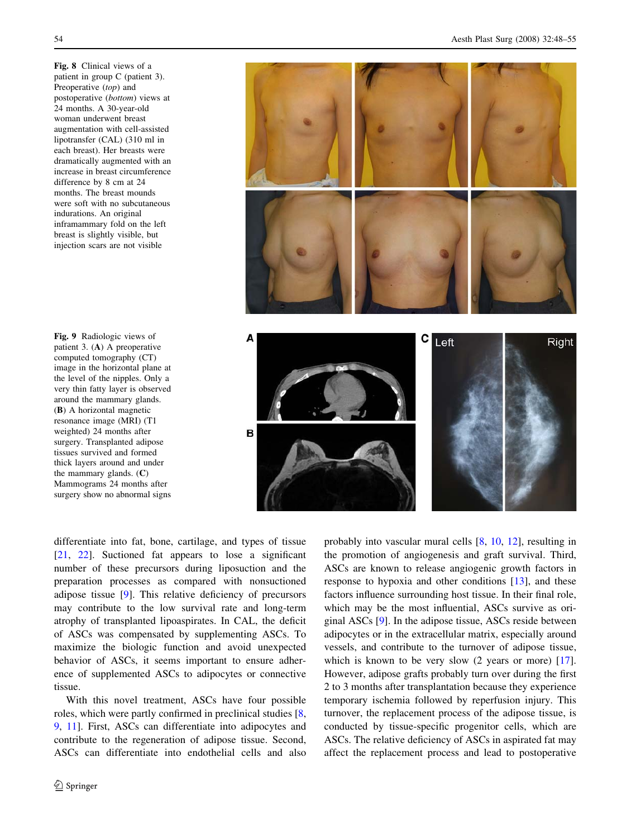<span id="page-6-0"></span>Fig. 8 Clinical views of a patient in group C (patient 3). Preoperative (top) and postoperative (bottom) views at 24 months. A 30-year-old woman underwent breast augmentation with cell-assisted lipotransfer (CAL) (310 ml in each breast). Her breasts were dramatically augmented with an increase in breast circumference difference by 8 cm at 24 months. The breast mounds were soft with no subcutaneous indurations. An original inframammary fold on the left breast is slightly visible, but injection scars are not visible

Fig. 9 Radiologic views of patient 3. (A) A preoperative computed tomography (CT) image in the horizontal plane at the level of the nipples. Only a very thin fatty layer is observed around the mammary glands. (B) A horizontal magnetic resonance image (MRI) (T1 weighted) 24 months after surgery. Transplanted adipose tissues survived and formed thick layers around and under the mammary glands. (C) Mammograms 24 months after surgery show no abnormal signs



differentiate into fat, bone, cartilage, and types of tissue [\[21](#page-7-0), [22\]](#page-7-0). Suctioned fat appears to lose a significant number of these precursors during liposuction and the preparation processes as compared with nonsuctioned adipose tissue [[9\]](#page-7-0). This relative deficiency of precursors may contribute to the low survival rate and long-term atrophy of transplanted lipoaspirates. In CAL, the deficit of ASCs was compensated by supplementing ASCs. To maximize the biologic function and avoid unexpected behavior of ASCs, it seems important to ensure adherence of supplemented ASCs to adipocytes or connective tissue.

With this novel treatment, ASCs have four possible roles, which were partly confirmed in preclinical studies [[8,](#page-7-0) [9](#page-7-0), [11\]](#page-7-0). First, ASCs can differentiate into adipocytes and contribute to the regeneration of adipose tissue. Second, ASCs can differentiate into endothelial cells and also probably into vascular mural cells [\[8](#page-7-0), [10](#page-7-0), [12\]](#page-7-0), resulting in the promotion of angiogenesis and graft survival. Third, ASCs are known to release angiogenic growth factors in response to hypoxia and other conditions [\[13](#page-7-0)], and these factors influence surrounding host tissue. In their final role, which may be the most influential, ASCs survive as original ASCs [[9](#page-7-0)]. In the adipose tissue, ASCs reside between adipocytes or in the extracellular matrix, especially around vessels, and contribute to the turnover of adipose tissue, which is known to be very slow (2 years or more) [\[17](#page-7-0)]. However, adipose grafts probably turn over during the first 2 to 3 months after transplantation because they experience temporary ischemia followed by reperfusion injury. This turnover, the replacement process of the adipose tissue, is conducted by tissue-specific progenitor cells, which are ASCs. The relative deficiency of ASCs in aspirated fat may affect the replacement process and lead to postoperative